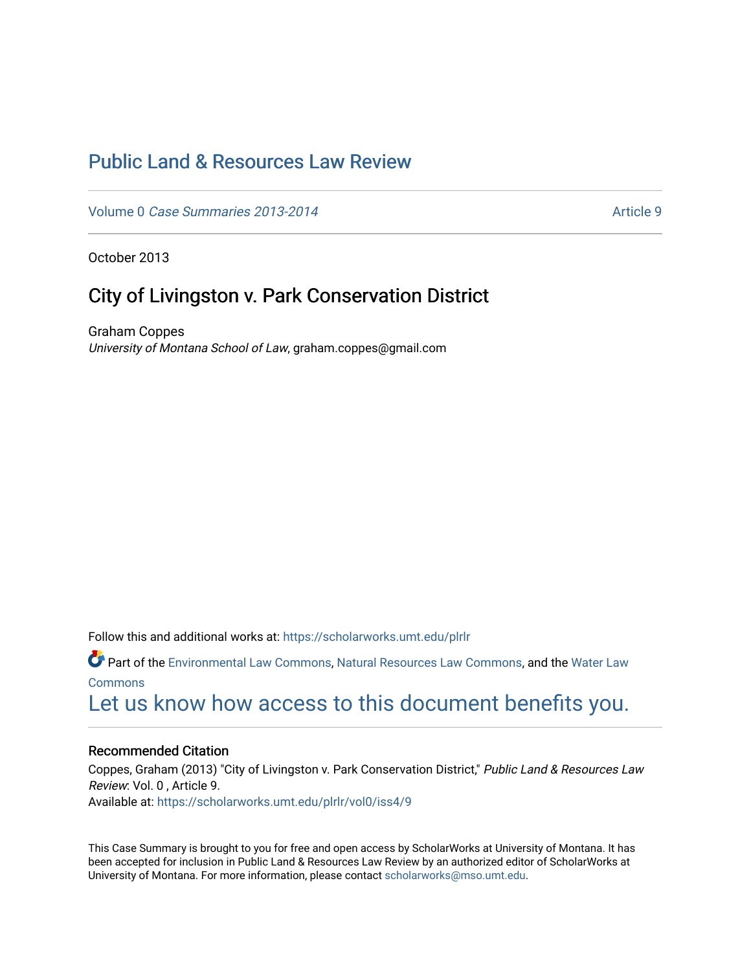## [Public Land & Resources Law Review](https://scholarworks.umt.edu/plrlr)

Volume 0 [Case Summaries 2013-2014](https://scholarworks.umt.edu/plrlr/vol0) Article 9

October 2013

### City of Livingston v. Park Conservation District

Graham Coppes University of Montana School of Law, graham.coppes@gmail.com

Follow this and additional works at: [https://scholarworks.umt.edu/plrlr](https://scholarworks.umt.edu/plrlr?utm_source=scholarworks.umt.edu%2Fplrlr%2Fvol0%2Fiss4%2F9&utm_medium=PDF&utm_campaign=PDFCoverPages) 

Part of the [Environmental Law Commons](http://network.bepress.com/hgg/discipline/599?utm_source=scholarworks.umt.edu%2Fplrlr%2Fvol0%2Fiss4%2F9&utm_medium=PDF&utm_campaign=PDFCoverPages), [Natural Resources Law Commons,](http://network.bepress.com/hgg/discipline/863?utm_source=scholarworks.umt.edu%2Fplrlr%2Fvol0%2Fiss4%2F9&utm_medium=PDF&utm_campaign=PDFCoverPages) and the [Water Law](http://network.bepress.com/hgg/discipline/887?utm_source=scholarworks.umt.edu%2Fplrlr%2Fvol0%2Fiss4%2F9&utm_medium=PDF&utm_campaign=PDFCoverPages)  [Commons](http://network.bepress.com/hgg/discipline/887?utm_source=scholarworks.umt.edu%2Fplrlr%2Fvol0%2Fiss4%2F9&utm_medium=PDF&utm_campaign=PDFCoverPages)

## [Let us know how access to this document benefits you.](https://goo.gl/forms/s2rGfXOLzz71qgsB2)

#### Recommended Citation

Coppes, Graham (2013) "City of Livingston v. Park Conservation District," Public Land & Resources Law Review: Vol. 0 , Article 9. Available at: [https://scholarworks.umt.edu/plrlr/vol0/iss4/9](https://scholarworks.umt.edu/plrlr/vol0/iss4/9?utm_source=scholarworks.umt.edu%2Fplrlr%2Fvol0%2Fiss4%2F9&utm_medium=PDF&utm_campaign=PDFCoverPages) 

This Case Summary is brought to you for free and open access by ScholarWorks at University of Montana. It has been accepted for inclusion in Public Land & Resources Law Review by an authorized editor of ScholarWorks at University of Montana. For more information, please contact [scholarworks@mso.umt.edu.](mailto:scholarworks@mso.umt.edu)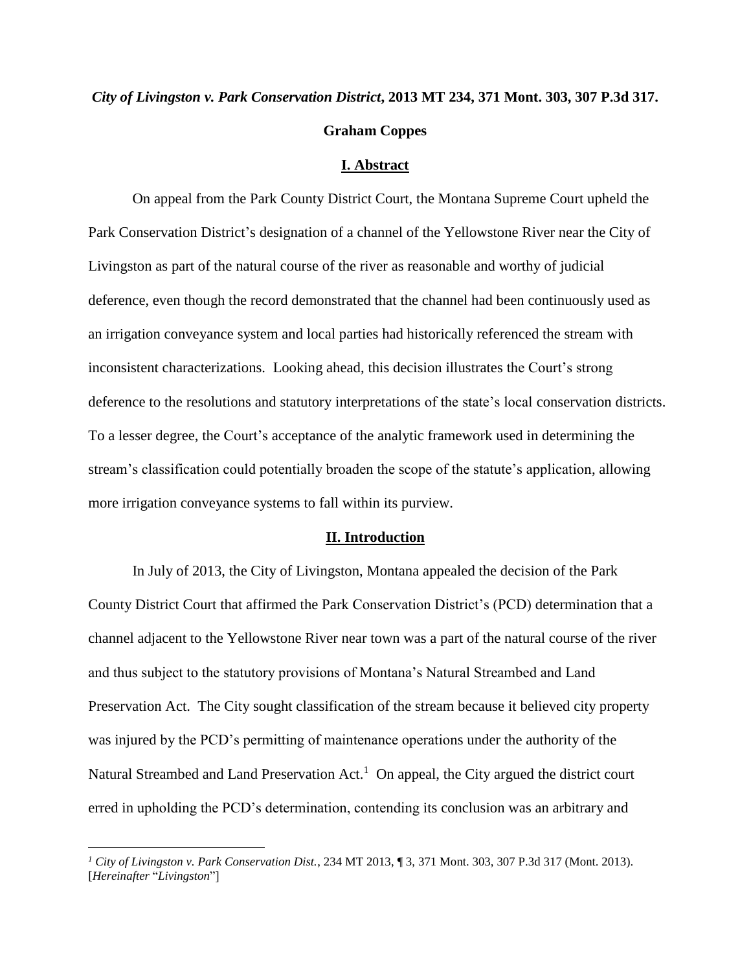# *City of Livingston v. Park Conservation District***, 2013 MT 234, 371 Mont. 303, 307 P.3d 317. Graham Coppes**

#### **I. Abstract**

On appeal from the Park County District Court, the Montana Supreme Court upheld the Park Conservation District's designation of a channel of the Yellowstone River near the City of Livingston as part of the natural course of the river as reasonable and worthy of judicial deference, even though the record demonstrated that the channel had been continuously used as an irrigation conveyance system and local parties had historically referenced the stream with inconsistent characterizations. Looking ahead, this decision illustrates the Court's strong deference to the resolutions and statutory interpretations of the state's local conservation districts. To a lesser degree, the Court's acceptance of the analytic framework used in determining the stream's classification could potentially broaden the scope of the statute's application, allowing more irrigation conveyance systems to fall within its purview.

#### **II. Introduction**

In July of 2013, the City of Livingston, Montana appealed the decision of the Park County District Court that affirmed the Park Conservation District's (PCD) determination that a channel adjacent to the Yellowstone River near town was a part of the natural course of the river and thus subject to the statutory provisions of Montana's Natural Streambed and Land Preservation Act. The City sought classification of the stream because it believed city property was injured by the PCD's permitting of maintenance operations under the authority of the Natural Streambed and Land Preservation Act.<sup>1</sup> On appeal, the City argued the district court erred in upholding the PCD's determination, contending its conclusion was an arbitrary and

 $\overline{a}$ 

*<sup>1</sup> City of Livingston v. Park Conservation Dist.*, 234 MT 2013, ¶ 3, 371 Mont. 303, 307 P.3d 317 (Mont. 2013). [*Hereinafter* "*Livingston*"]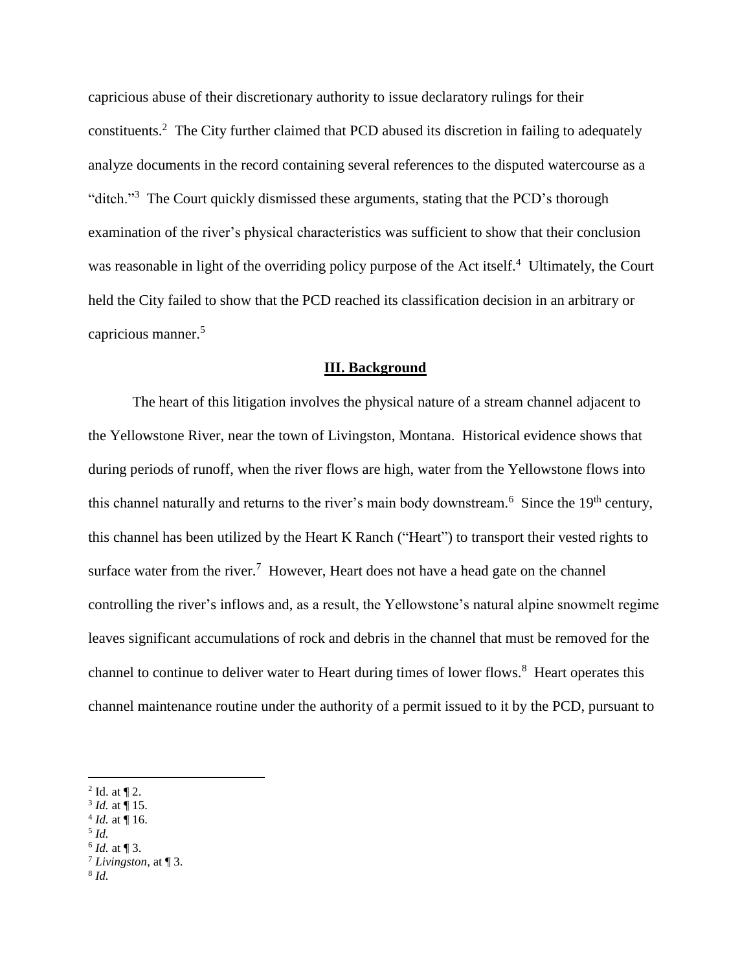capricious abuse of their discretionary authority to issue declaratory rulings for their constituents.<sup>2</sup> The City further claimed that PCD abused its discretion in failing to adequately analyze documents in the record containing several references to the disputed watercourse as a "ditch."<sup>3</sup> The Court quickly dismissed these arguments, stating that the PCD's thorough examination of the river's physical characteristics was sufficient to show that their conclusion was reasonable in light of the overriding policy purpose of the Act itself.<sup>4</sup> Ultimately, the Court held the City failed to show that the PCD reached its classification decision in an arbitrary or capricious manner.<sup>5</sup>

#### **III. Background**

The heart of this litigation involves the physical nature of a stream channel adjacent to the Yellowstone River, near the town of Livingston, Montana. Historical evidence shows that during periods of runoff, when the river flows are high, water from the Yellowstone flows into this channel naturally and returns to the river's main body downstream.<sup>6</sup> Since the 19<sup>th</sup> century, this channel has been utilized by the Heart K Ranch ("Heart") to transport their vested rights to surface water from the river.<sup>7</sup> However, Heart does not have a head gate on the channel controlling the river's inflows and, as a result, the Yellowstone's natural alpine snowmelt regime leaves significant accumulations of rock and debris in the channel that must be removed for the channel to continue to deliver water to Heart during times of lower flows.<sup>8</sup> Heart operates this channel maintenance routine under the authority of a permit issued to it by the PCD, pursuant to

- $^{4}$  *Id.* at  $\P$  16.
- 5 *Id.*

 $\overline{a}$ 

6 *Id.* at ¶ 3.

8 *Id.*

 $2$  Id. at  $\P$  2.

<sup>3</sup> *Id.* at ¶ 15.

 $^7$  *Livingston*, at  $\P$  3.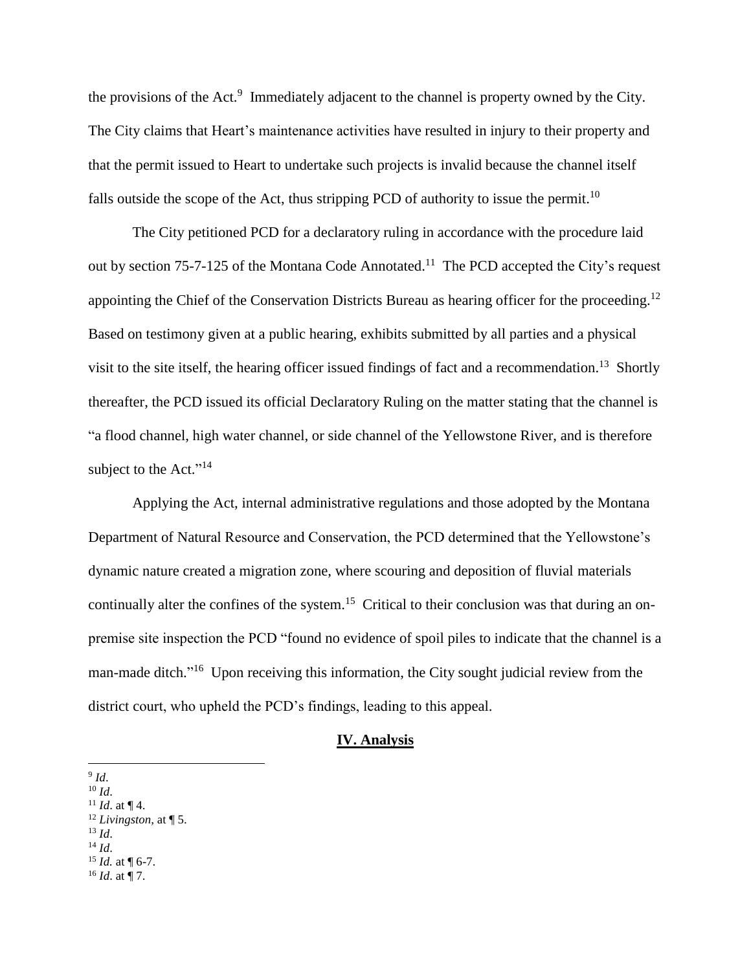the provisions of the Act.<sup>9</sup> Immediately adjacent to the channel is property owned by the City. The City claims that Heart's maintenance activities have resulted in injury to their property and that the permit issued to Heart to undertake such projects is invalid because the channel itself falls outside the scope of the Act, thus stripping PCD of authority to issue the permit.<sup>10</sup>

The City petitioned PCD for a declaratory ruling in accordance with the procedure laid out by section 75-7-125 of the Montana Code Annotated.<sup>11</sup> The PCD accepted the City's request appointing the Chief of the Conservation Districts Bureau as hearing officer for the proceeding.<sup>12</sup> Based on testimony given at a public hearing, exhibits submitted by all parties and a physical visit to the site itself, the hearing officer issued findings of fact and a recommendation.<sup>13</sup> Shortly thereafter, the PCD issued its official Declaratory Ruling on the matter stating that the channel is "a flood channel, high water channel, or side channel of the Yellowstone River, and is therefore subject to the Act." $14$ 

Applying the Act, internal administrative regulations and those adopted by the Montana Department of Natural Resource and Conservation, the PCD determined that the Yellowstone's dynamic nature created a migration zone, where scouring and deposition of fluvial materials continually alter the confines of the system.<sup>15</sup> Critical to their conclusion was that during an onpremise site inspection the PCD "found no evidence of spoil piles to indicate that the channel is a man-made ditch."<sup>16</sup> Upon receiving this information, the City sought judicial review from the district court, who upheld the PCD's findings, leading to this appeal.

#### **IV. Analysis**

- $10 \, Id.$
- <sup>11</sup> *Id.* at  $\P$  4.
- <sup>12</sup> *Livingston,* at ¶ 5.
- $^{13}$  *Id*.
- $^{14}$  *Id.*
- $15$  *Id.* at  $\P$  6-7.
- $^{16}$  *Id.* at ¶ 7.

 $\overline{a}$ 9 *Id*.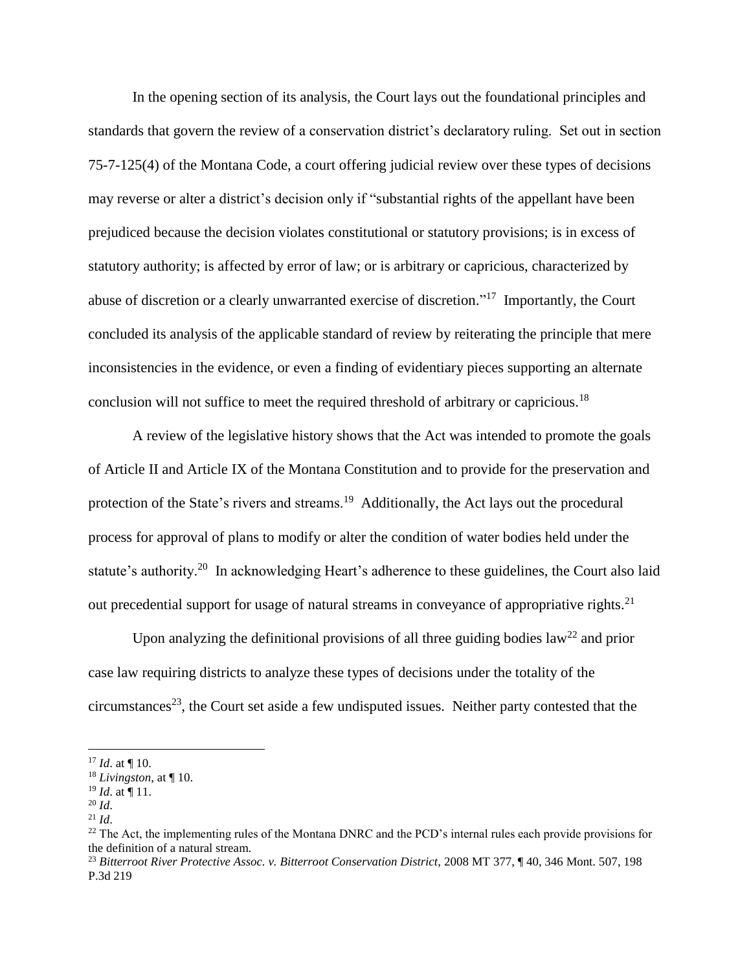In the opening section of its analysis, the Court lays out the foundational principles and standards that govern the review of a conservation district's declaratory ruling. Set out in section 75-7-125(4) of the Montana Code, a court offering judicial review over these types of decisions may reverse or alter a district's decision only if "substantial rights of the appellant have been prejudiced because the decision violates constitutional or statutory provisions; is in excess of statutory authority; is affected by error of law; or is arbitrary or capricious, characterized by abuse of discretion or a clearly unwarranted exercise of discretion."<sup>17</sup> Importantly, the Court concluded its analysis of the applicable standard of review by reiterating the principle that mere inconsistencies in the evidence, or even a finding of evidentiary pieces supporting an alternate conclusion will not suffice to meet the required threshold of arbitrary or capricious.<sup>18</sup>

A review of the legislative history shows that the Act was intended to promote the goals of Article II and Article IX of the Montana Constitution and to provide for the preservation and protection of the State's rivers and streams.<sup>19</sup> Additionally, the Act lays out the procedural process for approval of plans to modify or alter the condition of water bodies held under the statute's authority.<sup>20</sup> In acknowledging Heart's adherence to these guidelines, the Court also laid out precedential support for usage of natural streams in conveyance of appropriative rights.<sup>21</sup>

Upon analyzing the definitional provisions of all three guiding bodies law<sup>22</sup> and prior case law requiring districts to analyze these types of decisions under the totality of the circumstances<sup>23</sup>, the Court set aside a few undisputed issues. Neither party contested that the

 $\overline{a}$ 

 $17$  *Id.* at  $\P$  10.

<sup>18</sup> *Livingston*, at ¶ 10.

<sup>19</sup> *Id*. at ¶ 11.

<sup>20</sup> *Id*.

 $^{21}$  *Id.* 

 $^{22}$  The Act, the implementing rules of the Montana DNRC and the PCD's internal rules each provide provisions for the definition of a natural stream.

<sup>23</sup> *Bitterroot River Protective Assoc. v. Bitterroot Conservation District*, 2008 MT 377, ¶ 40, 346 Mont. 507, 198 P.3d 219